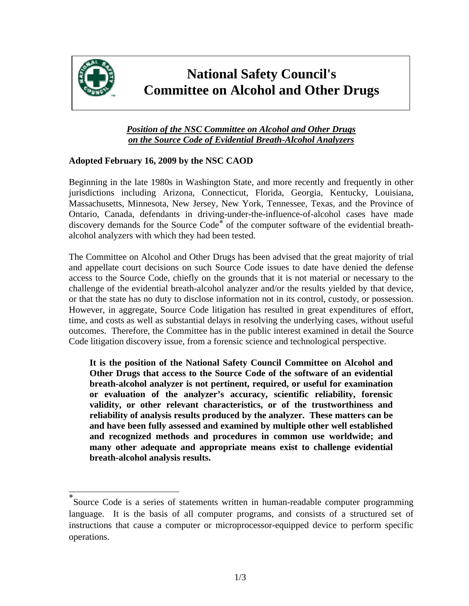

 $\frac{1}{2}$ 

# **National Safety Council's Committee on Alcohol and Other Drugs**

## *Position of the NSC Committee on Alcohol and Other Drugs on the Source Code of Evidential Breath-Alcohol Analyzers*

# **Adopted February 16, 2009 by the NSC CAOD**

Beginning in the late 1980s in Washington State, and more recently and frequently in other jurisdictions including Arizona, Connecticut, Florida, Georgia, Kentucky, Louisiana, Massachusetts, Minnesota, New Jersey, New York, Tennessee, Texas, and the Province of Ontario, Canada, defendants in driving-under-the-influence-of-alcohol cases have made discovery demands for the Source Code∗ of the computer software of the evidential breathalcohol analyzers with which they had been tested.

The Committee on Alcohol and Other Drugs has been advised that the great majority of trial and appellate court decisions on such Source Code issues to date have denied the defense access to the Source Code, chiefly on the grounds that it is not material or necessary to the challenge of the evidential breath-alcohol analyzer and/or the results yielded by that device, or that the state has no duty to disclose information not in its control, custody, or possession. However, in aggregate, Source Code litigation has resulted in great expenditures of effort, time, and costs as well as substantial delays in resolving the underlying cases, without useful outcomes. Therefore, the Committee has in the public interest examined in detail the Source Code litigation discovery issue, from a forensic science and technological perspective.

**It is the position of the National Safety Council Committee on Alcohol and Other Drugs that access to the Source Code of the software of an evidential breath-alcohol analyzer is not pertinent, required, or useful for examination or evaluation of the analyzer's accuracy, scientific reliability, forensic validity, or other relevant characteristics, or of the trustworthiness and reliability of analysis results produced by the analyzer. These matters can be and have been fully assessed and examined by multiple other well established and recognized methods and procedures in common use worldwide; and many other adequate and appropriate means exist to challenge evidential breath-alcohol analysis results.** 

<sup>∗</sup> Source Code is a series of statements written in human-readable computer programming language. It is the basis of all computer programs, and consists of a structured set of instructions that cause a computer or microprocessor-equipped device to perform specific operations.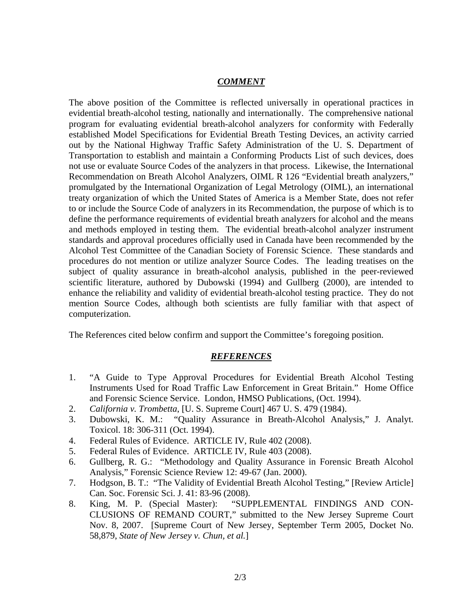#### *COMMENT*

The above position of the Committee is reflected universally in operational practices in evidential breath-alcohol testing, nationally and internationally. The comprehensive national program for evaluating evidential breath-alcohol analyzers for conformity with Federally established Model Specifications for Evidential Breath Testing Devices, an activity carried out by the National Highway Traffic Safety Administration of the U. S. Department of Transportation to establish and maintain a Conforming Products List of such devices, does not use or evaluate Source Codes of the analyzers in that process. Likewise, the International Recommendation on Breath Alcohol Analyzers, OIML R 126 "Evidential breath analyzers," promulgated by the International Organization of Legal Metrology (OIML), an international treaty organization of which the United States of America is a Member State, does not refer to or include the Source Code of analyzers in its Recommendation, the purpose of which is to define the performance requirements of evidential breath analyzers for alcohol and the means and methods employed in testing them. The evidential breath-alcohol analyzer instrument standards and approval procedures officially used in Canada have been recommended by the Alcohol Test Committee of the Canadian Society of Forensic Science. These standards and procedures do not mention or utilize analyzer Source Codes. The leading treatises on the subject of quality assurance in breath-alcohol analysis, published in the peer-reviewed scientific literature, authored by Dubowski (1994) and Gullberg (2000), are intended to enhance the reliability and validity of evidential breath-alcohol testing practice. They do not mention Source Codes, although both scientists are fully familiar with that aspect of computerization.

The References cited below confirm and support the Committee's foregoing position.

### *REFERENCES*

- 1. "A Guide to Type Approval Procedures for Evidential Breath Alcohol Testing Instruments Used for Road Traffic Law Enforcement in Great Britain." Home Office and Forensic Science Service. London, HMSO Publications, (Oct. 1994).
- 2. *California v. Trombetta*, [U. S. Supreme Court] 467 U. S. 479 (1984).
- 3. Dubowski, K. M.: "Quality Assurance in Breath-Alcohol Analysis," J. Analyt. Toxicol. 18: 306-311 (Oct. 1994).
- 4. Federal Rules of Evidence. ARTICLE IV, Rule 402 (2008).
- 5. Federal Rules of Evidence. ARTICLE IV, Rule 403 (2008).
- 6. Gullberg, R. G.: "Methodology and Quality Assurance in Forensic Breath Alcohol Analysis," Forensic Science Review 12: 49-67 (Jan. 2000).
- 7. Hodgson, B. T.: "The Validity of Evidential Breath Alcohol Testing," [Review Article] Can. Soc. Forensic Sci. J. 41: 83-96 (2008).
- 8. King, M. P. (Special Master): "SUPPLEMENTAL FINDINGS AND CON-CLUSIONS OF REMAND COURT," submitted to the New Jersey Supreme Court Nov. 8, 2007. [Supreme Court of New Jersey, September Term 2005, Docket No. 58,879, *State of New Jersey v. Chun, et al.*]